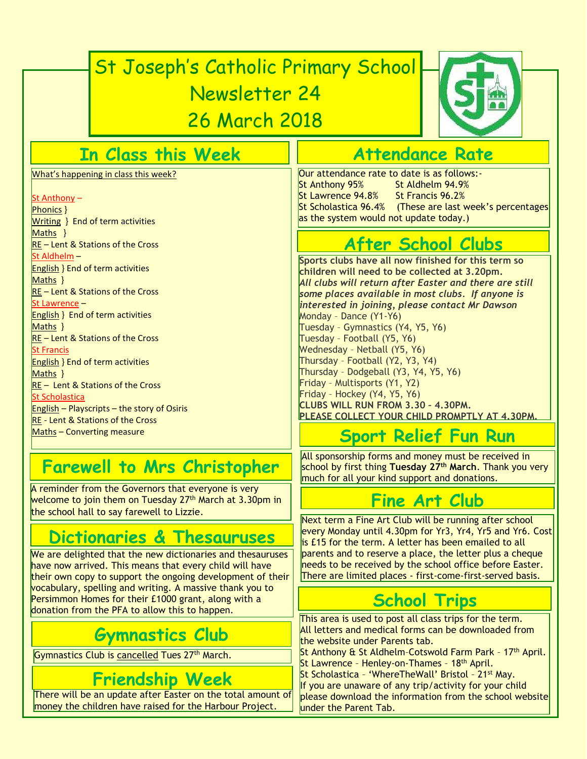# St Joseph's Catholic Primary School Newsletter 24 26 March 2018



### **In Class this Week**

What's happening in class this week?

#### St Anthony –

Phonics } Writing } End of term activities Maths } RE – Lent & Stations of the Cross St Aldhelm – English } End of term activities Maths } RE – Lent & Stations of the Cross St Lawrence – English } End of term activities Maths } RE – Lent & Stations of the Cross St Francis English } End of term activities Maths } RE – Lent & Stations of the Cross St Scholastica **English – Playscripts – the story of Osiris** RE - Lent & Stations of the Cross Maths - Converting measure

### **Farewell to Mrs Christopher**

A reminder from the Governors that everyone is very welcome to join them on Tuesday  $27<sup>th</sup>$  March at 3.30pm in the school hall to say farewell to Lizzie.

### **Dictionaries & Thesauruses**

We are delighted that the new dictionaries and thesauruses have now arrived. This means that every child will have their own copy to support the ongoing development of their vocabulary, spelling and writing. A massive thank you to Persimmon Homes for their £1000 grant, along with a donation from the PFA to allow this to happen.

### **Gymnastics Club**

Gymnastics Club is cancelled Tues 27<sup>th</sup> March.

### **Friendship Week**

There will be an update after Easter on the total amount of money the children have raised for the Harbour Project.

### **Attendance Rate**

Our attendance rate to date is as follows:- St Anthony 95% St Aldhelm 94.9% St Lawrence 94.8% St Francis 96.2% St Scholastica 96.4% (These are last week's percentages as the system would not update today.)

## **After School Clubs**

**Sports clubs have all now finished for this term so children will need to be collected at 3.20pm.** *All clubs will return after Easter and there are still some places available in most clubs. If anyone is interested in joining, please contact Mr Dawson* Monday – Dance (Y1-Y6) Tuesday – Gymnastics (Y4, Y5, Y6) Tuesday – Football (Y5, Y6) Wednesday – Netball (Y5, Y6) Thursday – Football (Y2, Y3, Y4) Thursday – Dodgeball (Y3, Y4, Y5, Y6) Friday – Multisports (Y1, Y2) Friday – Hockey (Y4, Y5, Y6) **CLUBS WILL RUN FROM 3.30 – 4.30PM. PLEASE COLLECT YOUR CHILD PROMPTLY AT 4.30PM.** *.*

### **Sport Relief Fun Run**

All sponsorship forms and money must be received in school by first thing **Tuesday 27th March**. Thank you very much for all your kind support and donations.

### **Fine Art Club**

Next term a Fine Art Club will be running after school every Monday until 4.30pm for Yr3, Yr4, Yr5 and Yr6. Cost is £15 for the term. A letter has been emailed to all parents and to reserve a place, the letter plus a cheque needs to be received by the school office before Easter. There are limited places - first-come-first-served basis.

### **School Trips**

This area is used to post all class trips for the term. All letters and medical forms can be downloaded from the website under Parents tab.

St Anthony & St Aldhelm-Cotswold Farm Park - 17<sup>th</sup> April. St Lawrence - Henley-on-Thames - 18<sup>th</sup> April.

St Scholastica - 'WhereTheWall' Bristol - 21<sup>st</sup> May.

If you are unaware of any trip/activity for your child please download the information from the school website under the Parent Tab.